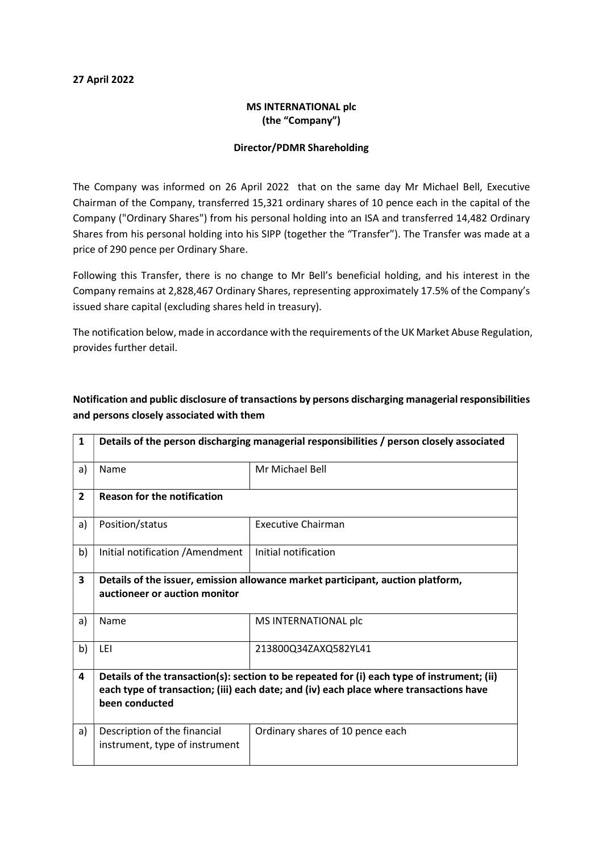## 27 April 2022

## MS INTERNATIONAL plc (the "Company")

## Director/PDMR Shareholding

The Company was informed on 26 April 2022 that on the same day Mr Michael Bell, Executive Chairman of the Company, transferred 15,321 ordinary shares of 10 pence each in the capital of the Company ("Ordinary Shares") from his personal holding into an ISA and transferred 14,482 Ordinary Shares from his personal holding into his SIPP (together the "Transfer"). The Transfer was made at a price of 290 pence per Ordinary Share.

Following this Transfer, there is no change to Mr Bell's beneficial holding, and his interest in the Company remains at 2,828,467 Ordinary Shares, representing approximately 17.5% of the Company's issued share capital (excluding shares held in treasury).

The notification below, made in accordance with the requirements of the UK Market Abuse Regulation, provides further detail.

Notification and public disclosure of transactions by persons discharging managerial responsibilities and persons closely associated with them

| 1              | Details of the person discharging managerial responsibilities / person closely associated                                                                                                               |                                  |  |
|----------------|---------------------------------------------------------------------------------------------------------------------------------------------------------------------------------------------------------|----------------------------------|--|
| a)             | Name                                                                                                                                                                                                    | Mr Michael Bell                  |  |
| $\overline{2}$ | <b>Reason for the notification</b>                                                                                                                                                                      |                                  |  |
| a)             | Position/status                                                                                                                                                                                         | <b>Executive Chairman</b>        |  |
| b)             | Initial notification / Amendment                                                                                                                                                                        | Initial notification             |  |
| 3              | Details of the issuer, emission allowance market participant, auction platform,<br>auctioneer or auction monitor                                                                                        |                                  |  |
| a)             | Name                                                                                                                                                                                                    | MS INTERNATIONAL plc             |  |
| b)             | LEI                                                                                                                                                                                                     | 213800Q34ZAXQ582YL41             |  |
| 4              | Details of the transaction(s): section to be repeated for (i) each type of instrument; (ii)<br>each type of transaction; (iii) each date; and (iv) each place where transactions have<br>been conducted |                                  |  |
| a)             | Description of the financial<br>instrument, type of instrument                                                                                                                                          | Ordinary shares of 10 pence each |  |